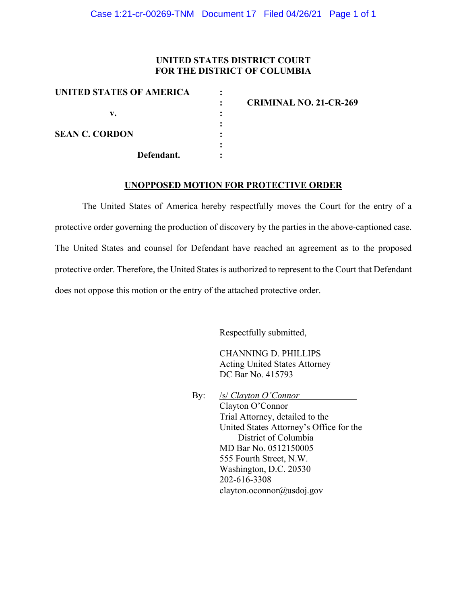### **UNITED STATES DISTRICT COURT FOR THE DISTRICT OF COLUMBIA**

| UNITED STATES OF AMERICA | <b>CRIMINAL NO. 21-CR-269</b> |
|--------------------------|-------------------------------|
| v.                       |                               |
|                          |                               |
| <b>SEAN C. CORDON</b>    |                               |
| Defendant.               |                               |

#### **UNOPPOSED MOTION FOR PROTECTIVE ORDER**

The United States of America hereby respectfully moves the Court for the entry of a protective order governing the production of discovery by the parties in the above-captioned case. The United States and counsel for Defendant have reached an agreement as to the proposed protective order. Therefore, the United States is authorized to represent to the Court that Defendant does not oppose this motion or the entry of the attached protective order.

Respectfully submitted,

CHANNING D. PHILLIPS Acting United States Attorney DC Bar No. 415793

By: /s/ *Clayton O'Connor* Clayton O'Connor Trial Attorney, detailed to the United States Attorney's Office for the District of Columbia MD Bar No. 0512150005 555 Fourth Street, N.W. Washington, D.C. 20530 202-616-3308 clayton.oconnor@usdoj.gov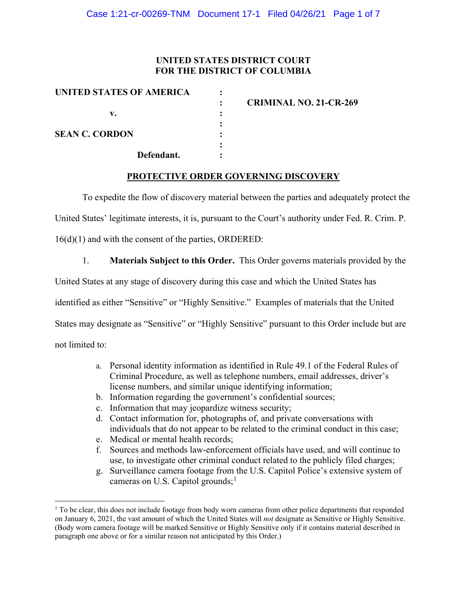### **UNITED STATES DISTRICT COURT FOR THE DISTRICT OF COLUMBIA**

| UNITED STATES OF AMERICA | <b>CRIMINAL NO. 21-CR-269</b> |
|--------------------------|-------------------------------|
| v.                       |                               |
|                          |                               |
| <b>SEAN C. CORDON</b>    |                               |
|                          |                               |
| Defendant.               |                               |

### **PROTECTIVE ORDER GOVERNING DISCOVERY**

To expedite the flow of discovery material between the parties and adequately protect the

United States' legitimate interests, it is, pursuant to the Court's authority under Fed. R. Crim. P.

16(d)(1) and with the consent of the parties, ORDERED:

1. **Materials Subject to this Order.** This Order governs materials provided by the

United States at any stage of discovery during this case and which the United States has

identified as either "Sensitive" or "Highly Sensitive." Examples of materials that the United

States may designate as "Sensitive" or "Highly Sensitive" pursuant to this Order include but are

not limited to:

- a. Personal identity information as identified in Rule 49.1 of the Federal Rules of Criminal Procedure, as well as telephone numbers, email addresses, driver's license numbers, and similar unique identifying information;
- b. Information regarding the government's confidential sources;
- c. Information that may jeopardize witness security;
- d. Contact information for, photographs of, and private conversations with individuals that do not appear to be related to the criminal conduct in this case;
- e. Medical or mental health records;
- f. Sources and methods law-enforcement officials have used, and will continue to use, to investigate other criminal conduct related to the publicly filed charges;
- g. Surveillance camera footage from the U.S. Capitol Police's extensive system of cameras on U.S. Capitol grounds;<sup>1</sup>

 $1$  To be clear, this does not include footage from body worn cameras from other police departments that responded on January 6, 2021, the vast amount of which the United States will *not* designate as Sensitive or Highly Sensitive. (Body worn camera footage will be marked Sensitive or Highly Sensitive only if it contains material described in paragraph one above or for a similar reason not anticipated by this Order.)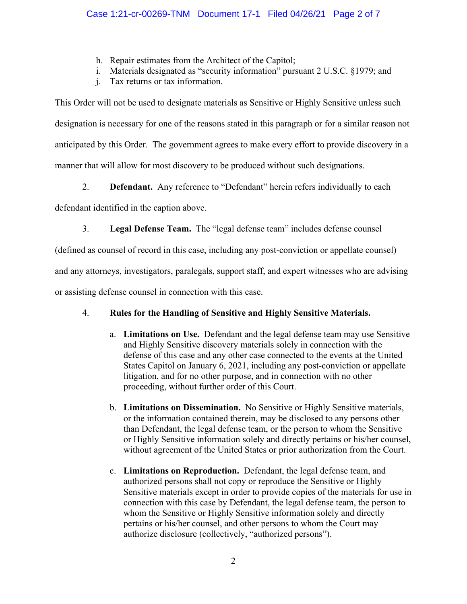- h. Repair estimates from the Architect of the Capitol;
- i. Materials designated as "security information" pursuant 2 U.S.C. §1979; and
- j. Tax returns or tax information.

This Order will not be used to designate materials as Sensitive or Highly Sensitive unless such designation is necessary for one of the reasons stated in this paragraph or for a similar reason not anticipated by this Order. The government agrees to make every effort to provide discovery in a manner that will allow for most discovery to be produced without such designations.

2. **Defendant.** Any reference to "Defendant" herein refers individually to each

defendant identified in the caption above.

3. **Legal Defense Team.** The "legal defense team" includes defense counsel

(defined as counsel of record in this case, including any post-conviction or appellate counsel)

and any attorneys, investigators, paralegals, support staff, and expert witnesses who are advising

or assisting defense counsel in connection with this case.

# 4. **Rules for the Handling of Sensitive and Highly Sensitive Materials.**

- a. **Limitations on Use.** Defendant and the legal defense team may use Sensitive and Highly Sensitive discovery materials solely in connection with the defense of this case and any other case connected to the events at the United States Capitol on January 6, 2021, including any post-conviction or appellate litigation, and for no other purpose, and in connection with no other proceeding, without further order of this Court.
- b. **Limitations on Dissemination.** No Sensitive or Highly Sensitive materials, or the information contained therein, may be disclosed to any persons other than Defendant, the legal defense team, or the person to whom the Sensitive or Highly Sensitive information solely and directly pertains or his/her counsel, without agreement of the United States or prior authorization from the Court.
- c. **Limitations on Reproduction.** Defendant, the legal defense team, and authorized persons shall not copy or reproduce the Sensitive or Highly Sensitive materials except in order to provide copies of the materials for use in connection with this case by Defendant, the legal defense team, the person to whom the Sensitive or Highly Sensitive information solely and directly pertains or his/her counsel, and other persons to whom the Court may authorize disclosure (collectively, "authorized persons").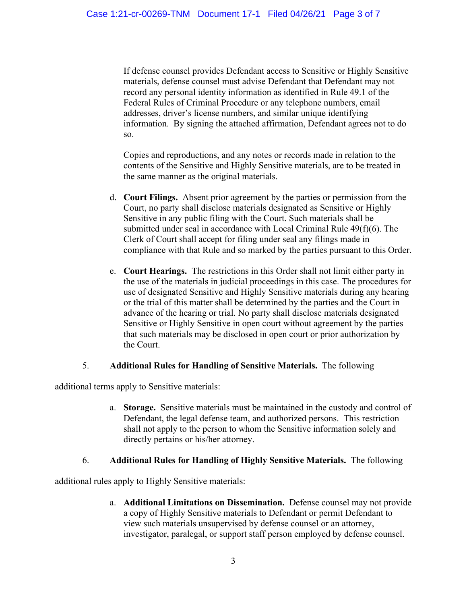If defense counsel provides Defendant access to Sensitive or Highly Sensitive materials, defense counsel must advise Defendant that Defendant may not record any personal identity information as identified in Rule 49.1 of the Federal Rules of Criminal Procedure or any telephone numbers, email addresses, driver's license numbers, and similar unique identifying information. By signing the attached affirmation, Defendant agrees not to do so.

Copies and reproductions, and any notes or records made in relation to the contents of the Sensitive and Highly Sensitive materials, are to be treated in the same manner as the original materials.

- d. **Court Filings.** Absent prior agreement by the parties or permission from the Court, no party shall disclose materials designated as Sensitive or Highly Sensitive in any public filing with the Court. Such materials shall be submitted under seal in accordance with Local Criminal Rule 49(f)(6). The Clerk of Court shall accept for filing under seal any filings made in compliance with that Rule and so marked by the parties pursuant to this Order.
- e. **Court Hearings.** The restrictions in this Order shall not limit either party in the use of the materials in judicial proceedings in this case. The procedures for use of designated Sensitive and Highly Sensitive materials during any hearing or the trial of this matter shall be determined by the parties and the Court in advance of the hearing or trial. No party shall disclose materials designated Sensitive or Highly Sensitive in open court without agreement by the parties that such materials may be disclosed in open court or prior authorization by the Court.

# 5. **Additional Rules for Handling of Sensitive Materials.** The following

additional terms apply to Sensitive materials:

a. **Storage.** Sensitive materials must be maintained in the custody and control of Defendant, the legal defense team, and authorized persons. This restriction shall not apply to the person to whom the Sensitive information solely and directly pertains or his/her attorney.

# 6. **Additional Rules for Handling of Highly Sensitive Materials.** The following

additional rules apply to Highly Sensitive materials:

a. **Additional Limitations on Dissemination.** Defense counsel may not provide a copy of Highly Sensitive materials to Defendant or permit Defendant to view such materials unsupervised by defense counsel or an attorney, investigator, paralegal, or support staff person employed by defense counsel.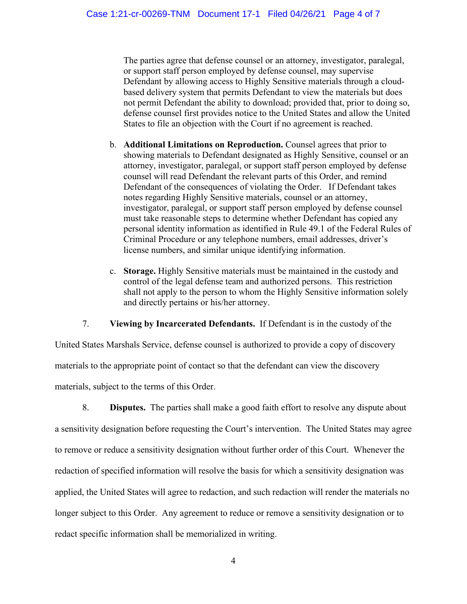The parties agree that defense counsel or an attorney, investigator, paralegal, or support staff person employed by defense counsel, may supervise Defendant by allowing access to Highly Sensitive materials through a cloudbased delivery system that permits Defendant to view the materials but does not permit Defendant the ability to download; provided that, prior to doing so, defense counsel first provides notice to the United States and allow the United States to file an objection with the Court if no agreement is reached.

- b. **Additional Limitations on Reproduction.** Counsel agrees that prior to showing materials to Defendant designated as Highly Sensitive, counsel or an attorney, investigator, paralegal, or support staff person employed by defense counsel will read Defendant the relevant parts of this Order, and remind Defendant of the consequences of violating the Order. If Defendant takes notes regarding Highly Sensitive materials, counsel or an attorney, investigator, paralegal, or support staff person employed by defense counsel must take reasonable steps to determine whether Defendant has copied any personal identity information as identified in Rule 49.1 of the Federal Rules of Criminal Procedure or any telephone numbers, email addresses, driver's license numbers, and similar unique identifying information.
- c. **Storage.** Highly Sensitive materials must be maintained in the custody and control of the legal defense team and authorized persons. This restriction shall not apply to the person to whom the Highly Sensitive information solely and directly pertains or his/her attorney.

7. **Viewing by Incarcerated Defendants.** If Defendant is in the custody of the

United States Marshals Service, defense counsel is authorized to provide a copy of discovery materials to the appropriate point of contact so that the defendant can view the discovery materials, subject to the terms of this Order.

8. **Disputes.** The parties shall make a good faith effort to resolve any dispute about a sensitivity designation before requesting the Court's intervention. The United States may agree to remove or reduce a sensitivity designation without further order of this Court. Whenever the redaction of specified information will resolve the basis for which a sensitivity designation was applied, the United States will agree to redaction, and such redaction will render the materials no longer subject to this Order. Any agreement to reduce or remove a sensitivity designation or to redact specific information shall be memorialized in writing.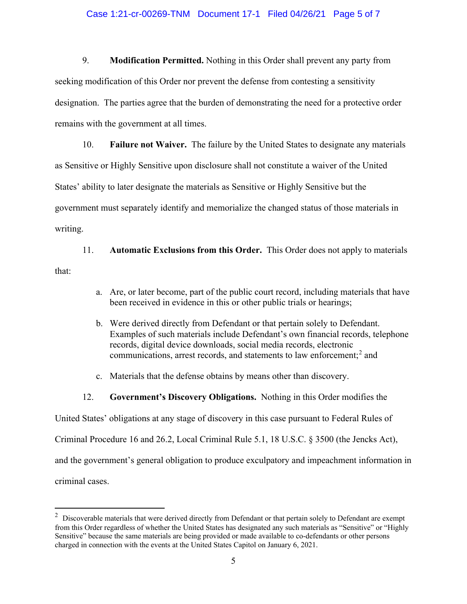#### Case 1:21-cr-00269-TNM Document 17-1 Filed 04/26/21 Page 5 of 7

9. **Modification Permitted.** Nothing in this Order shall prevent any party from seeking modification of this Order nor prevent the defense from contesting a sensitivity designation. The parties agree that the burden of demonstrating the need for a protective order remains with the government at all times.

10. **Failure not Waiver.** The failure by the United States to designate any materials as Sensitive or Highly Sensitive upon disclosure shall not constitute a waiver of the United States' ability to later designate the materials as Sensitive or Highly Sensitive but the government must separately identify and memorialize the changed status of those materials in writing.

11. **Automatic Exclusions from this Order.** This Order does not apply to materials that:

- a. Are, or later become, part of the public court record, including materials that have been received in evidence in this or other public trials or hearings;
- b. Were derived directly from Defendant or that pertain solely to Defendant. Examples of such materials include Defendant's own financial records, telephone records, digital device downloads, social media records, electronic communications, arrest records, and statements to law enforcement; <sup>2</sup> and
- c. Materials that the defense obtains by means other than discovery.
- 12. **Government's Discovery Obligations.** Nothing in this Order modifies the

United States' obligations at any stage of discovery in this case pursuant to Federal Rules of

Criminal Procedure 16 and 26.2, Local Criminal Rule 5.1, 18 U.S.C. § 3500 (the Jencks Act),

and the government's general obligation to produce exculpatory and impeachment information in

criminal cases.

 $2$  Discoverable materials that were derived directly from Defendant or that pertain solely to Defendant are exempt from this Order regardless of whether the United States has designated any such materials as "Sensitive" or "Highly Sensitive" because the same materials are being provided or made available to co-defendants or other persons charged in connection with the events at the United States Capitol on January 6, 2021.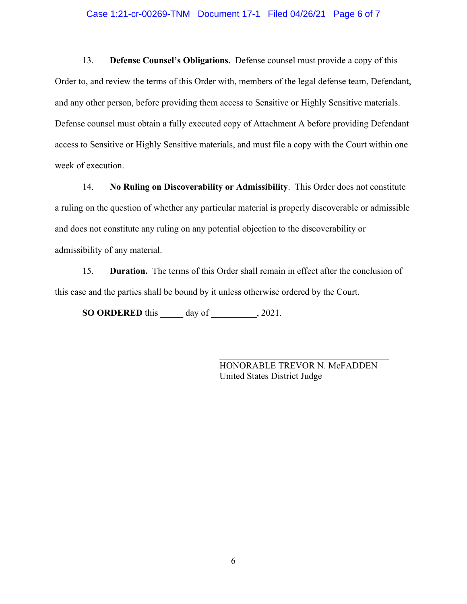#### Case 1:21-cr-00269-TNM Document 17-1 Filed 04/26/21 Page 6 of 7

13. **Defense Counsel's Obligations.** Defense counsel must provide a copy of this Order to, and review the terms of this Order with, members of the legal defense team, Defendant, and any other person, before providing them access to Sensitive or Highly Sensitive materials. Defense counsel must obtain a fully executed copy of Attachment A before providing Defendant access to Sensitive or Highly Sensitive materials, and must file a copy with the Court within one week of execution.

14. **No Ruling on Discoverability or Admissibility**. This Order does not constitute a ruling on the question of whether any particular material is properly discoverable or admissible and does not constitute any ruling on any potential objection to the discoverability or admissibility of any material.

15. **Duration.** The terms of this Order shall remain in effect after the conclusion of this case and the parties shall be bound by it unless otherwise ordered by the Court.

**SO ORDERED** this \_\_\_\_\_ day of \_\_\_\_\_\_\_\_\_\_, 2021.

HONORABLE TREVOR N. McFADDEN United States District Judge

\_\_\_\_\_\_\_\_\_\_\_\_\_\_\_\_\_\_\_\_\_\_\_\_\_\_\_\_\_\_\_\_\_\_\_\_\_